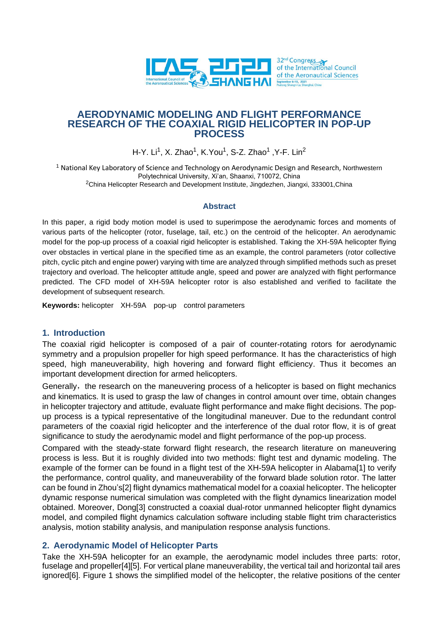

# **AERODYNAMIC MODELING AND FLIGHT PERFORMANCE RESEARCH OF THE COAXIAL RIGID HELICOPTER IN POP-UP PROCESS**

H-Y. Li<sup>1</sup>, X. Zhao<sup>1</sup>, K.You<sup>1</sup>, S-Z. Zhao<sup>1</sup> ,Y-F. Lin<sup>2</sup>

<sup>1</sup> National Key Laboratory of Science and Technology on Aerodynamic Design and Research, Northwestern Polytechnical University, Xi'an, Shaanxi, 710072, China <sup>2</sup>China Helicopter Research and Development Institute, Jingdezhen, Jiangxi, 333001, China

### **Abstract**

In this paper, a rigid body motion model is used to superimpose the aerodynamic forces and moments of various parts of the helicopter (rotor, fuselage, tail, etc.) on the centroid of the helicopter. An aerodynamic model for the pop-up process of a coaxial rigid helicopter is established. Taking the XH-59A helicopter flying over obstacles in vertical plane in the specified time as an example, the control parameters (rotor collective pitch, cyclic pitch and engine power) varying with time are analyzed through simplified methods such as preset trajectory and overload. The helicopter attitude angle, speed and power are analyzed with flight performance predicted. The CFD model of XH-59A helicopter rotor is also established and verified to facilitate the development of subsequent research.

**Keywords:** helicopterXH-59A pop-up control parameters

# **1. Introduction**

The coaxial rigid helicopter is composed of a pair of counter-rotating rotors for aerodynamic symmetry and a propulsion propeller for high speed performance. It has the characteristics of high speed, high maneuverability, high hovering and forward flight efficiency. Thus it becomes an important development direction for armed helicopters.

Generally, the research on the maneuvering process of a helicopter is based on flight mechanics and kinematics. It is used to grasp the law of changes in control amount over time, obtain changes in helicopter trajectory and attitude, evaluate flight performance and make flight decisions. The popup process is a typical representative of the longitudinal maneuver. Due to the redundant control parameters of the coaxial rigid helicopter and the interference of the dual rotor flow, it is of great significance to study the aerodynamic model and flight performance of the pop-up process.

Compared with the steady-state forward flight research, the research literature on maneuvering process is less. But it is roughly divided into two methods: flight test and dynamic modeling. The example of the former can be found in a flight test of the XH-59A helicopter in Alabam[a\[1\]](#page-14-0) to verify the performance, control quality, and maneuverability of the forward blade solution rotor. The latter can be found in Zhou'[s\[2\]](#page-14-1) flight dynamics mathematical model for a coaxial helicopter. The helicopter dynamic response numerical simulation was completed with the flight dynamics linearization model obtained. Moreover, Don[g\[3\]](#page-14-2) constructed a coaxial dual-rotor unmanned helicopter flight dynamics model, and compiled flight dynamics calculation software including stable flight trim characteristics analysis, motion stability analysis, and manipulation response analysis functions.

# **2. Aerodynamic Model of Helicopter Parts**

Take the XH-59A helicopter for an example, the aerodynamic model includes three parts: rotor, fuselage and propelle[r\[4\]](#page-14-3)[\[5\].](#page-14-4) For vertical plane maneuverability, the vertical tail and horizontal tail ares ignore[d\[6\].](#page-14-5) Figure 1 shows the simplified model of the helicopter, the relative positions of the center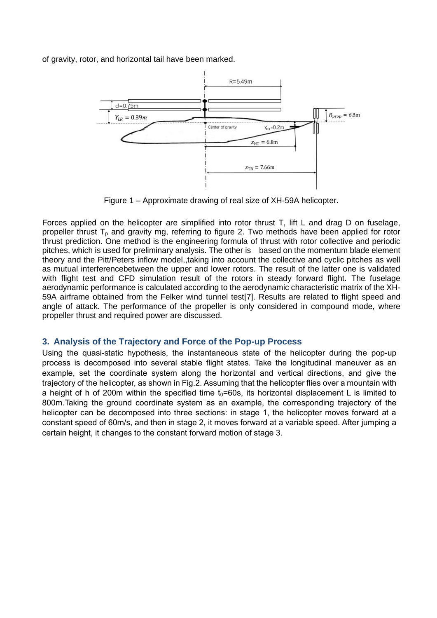of gravity, rotor, and horizontal tail have been marked.



Figure 1 – Approximate drawing of real size of XH-59A helicopter.

Forces applied on the helicopter are simplified into rotor thrust T, lift L and drag D on fuselage, propeller thrust  $T<sub>p</sub>$  and gravity mg, referring to figure 2. Two methods have been applied for rotor thrust prediction. One method is the engineering formula of thrust with rotor collective and periodic pitches, which is used for preliminary analysis. The other is based on the momentum blade element theory and the Pitt/Peters inflow model,,taking into account the collective and cyclic pitches as well as mutual interferencebetween the upper and lower rotors. The result of the latter one is validated with flight test and CFD simulation result of the rotors in steady forward flight. The fuselage aerodynamic performance is calculated according to the aerodynamic characteristic matrix of the XH-59A airframe obtained from the Felker wind tunnel tes[t\[7\].](#page-14-6) Results are related to flight speed and angle of attack. The performance of the propeller is only considered in compound mode, where propeller thrust and required power are discussed.

# **3. Analysis of the Trajectory and Force of the Pop-up Process**

Using the quasi-static hypothesis, the instantaneous state of the helicopter during the pop-up process is decomposed into several stable flight states. Take the longitudinal maneuver as an example, set the coordinate system along the horizontal and vertical directions, and give the trajectory of the helicopter, as shown in Fig.2. Assuming that the helicopter flies over a mountain with a height of h of 200m within the specified time  $t_0$ =60s, its horizontal displacement L is limited to 800m.Taking the ground coordinate system as an example, the corresponding trajectory of the helicopter can be decomposed into three sections: in stage 1, the helicopter moves forward at a constant speed of 60m/s, and then in stage 2, it moves forward at a variable speed. After jumping a certain height, it changes to the constant forward motion of stage 3.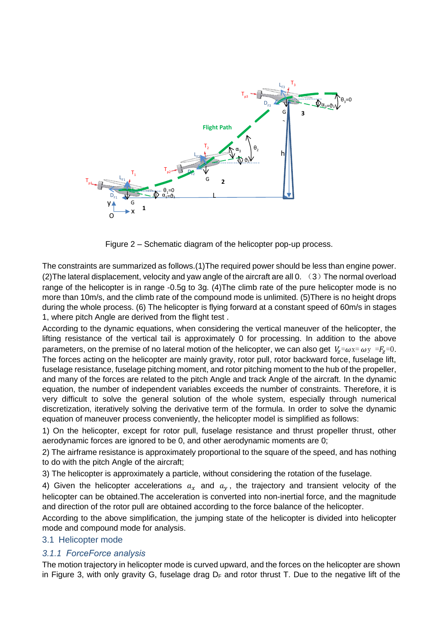

Figure 2 – Schematic diagram of the helicopter pop-up process.

The constraints are summarized as follows.(1)The required power should be less than engine power. (2) The lateral displacement, velocity and yaw angle of the aircraft are all 0.  $(3)$  The normal overload range of the helicopter is in range -0.5g to 3g. (4)The climb rate of the pure helicopter mode is no more than 10m/s, and the climb rate of the compound mode is unlimited. (5)There is no height drops during the whole process. (6) The helicopter is flying forward at a constant speed of 60m/s in stages 1, where pitch Angle are derived from the flight test .

According to the dynamic equations, when considering the vertical maneuver of the helicopter, the lifting resistance of the vertical tail is approximately 0 for processing. In addition to the above parameters, on the premise of no lateral motion of the helicopter, we can also get  $V_z = \omega x = \omega y = F_z = 0$ . The forces acting on the helicopter are mainly gravity, rotor pull, rotor backward force, fuselage lift, fuselage resistance, fuselage pitching moment, and rotor pitching moment to the hub of the propeller, and many of the forces are related to the pitch Angle and track Angle of the aircraft. In the dynamic equation, the number of independent variables exceeds the number of constraints. Therefore, it is very difficult to solve the general solution of the whole system, especially through numerical discretization, iteratively solving the derivative term of the formula. In order to solve the dynamic equation of maneuver process conveniently, the helicopter model is simplified as follows:

1) On the helicopter, except for rotor pull, fuselage resistance and thrust propeller thrust, other aerodynamic forces are ignored to be 0, and other aerodynamic moments are 0;

2) The airframe resistance is approximately proportional to the square of the speed, and has nothing to do with the pitch Angle of the aircraft;

3) The helicopter is approximately a particle, without considering the rotation of the fuselage.

4) Given the helicopter accelerations  $a_x$  and  $a_y$ , the trajectory and transient velocity of the helicopter can be obtained.The acceleration is converted into non-inertial force, and the magnitude and direction of the rotor pull are obtained according to the force balance of the helicopter.

According to the above simplification, the jumping state of the helicopter is divided into helicopter mode and compound mode for analysis.

# 3.1 Helicopter mode

# *3.1.1 ForceForce analysis*

The motion trajectory in helicopter mode is curved upward, and the forces on the helicopter are shown in Figure 3, with only gravity G, fuselage drag  $D_F$  and rotor thrust T. Due to the negative lift of the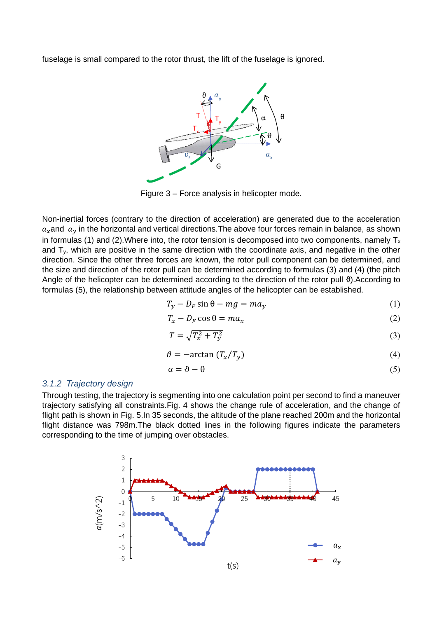fuselage is small compared to the rotor thrust, the lift of the fuselage is ignored.



Figure 3 – Force analysis in helicopter mode.

Non-inertial forces (contrary to the direction of acceleration) are generated due to the acceleration  $a_x$  and  $a_y$  in the horizontal and vertical directions. The above four forces remain in balance, as shown in formulas (1) and (2). Where into, the rotor tension is decomposed into two components, namely  $T_x$ and  $T_y$ , which are positive in the same direction with the coordinate axis, and negative in the other direction. Since the other three forces are known, the rotor pull component can be determined, and the size and direction of the rotor pull can be determined according to formulas (3) and (4) (the pitch Angle of the helicopter can be determined according to the direction of the rotor pull ϑ).According to formulas (5), the relationship between attitude angles of the helicopter can be established.

$$
T_y - D_F \sin \theta - mg = ma_y \tag{1}
$$

$$
T_x - D_F \cos \theta = ma_x \tag{2}
$$

$$
T = \sqrt{T_x^2 + T_y^2} \tag{3}
$$

$$
\vartheta = -\arctan(T_x/T_y) \tag{4}
$$

$$
\alpha = \vartheta - \theta \tag{5}
$$

#### *3.1.2 Trajectory design*

Through testing, the trajectory is segmenting into one calculation point per second to find a maneuver trajectory satisfying all constraints.Fig. 4 shows the change rule of acceleration, and the change of flight path is shown in Fig. 5.In 35 seconds, the altitude of the plane reached 200m and the horizontal flight distance was 798m.The black dotted lines in the following figures indicate the parameters corresponding to the time of jumping over obstacles.

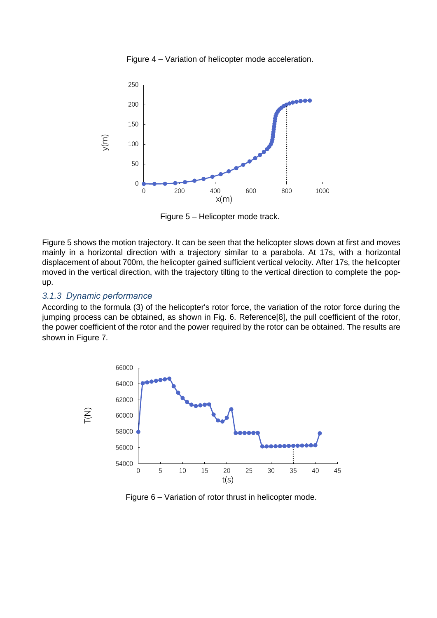Figure 4 – Variation of helicopter mode acceleration.



Figure 5 – Helicopter mode track.

Figure 5 shows the motion trajectory. It can be seen that the helicopter slows down at first and moves mainly in a horizontal direction with a trajectory similar to a parabola. At 17s, with a horizontal displacement of about 700m, the helicopter gained sufficient vertical velocity. After 17s, the helicopter moved in the vertical direction, with the trajectory tilting to the vertical direction to complete the popup.

### *3.1.3 Dynamic performance*

According to the formula (3) of the helicopter's rotor force, the variation of the rotor force during the jumping process can be obtained, as shown in Fig. 6. Referenc[e\[8\],](#page-14-7) the pull coefficient of the rotor, the power coefficient of the rotor and the power required by the rotor can be obtained. The results are shown in Figure 7.



Figure 6 – Variation of rotor thrust in helicopter mode.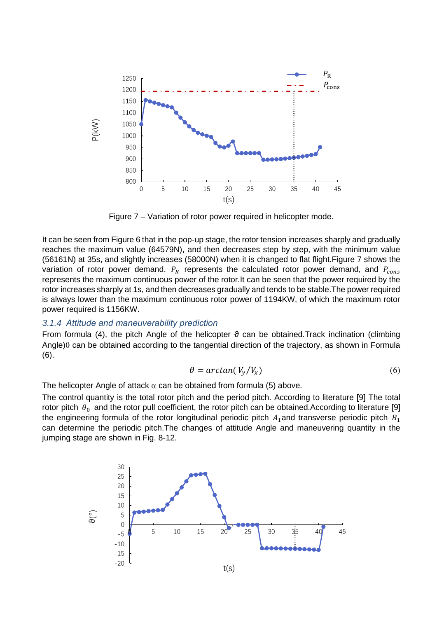

Figure 7 – Variation of rotor power required in helicopter mode.

It can be seen from Figure 6 that in the pop-up stage, the rotor tension increases sharply and gradually reaches the maximum value (64579N), and then decreases step by step, with the minimum value (56161N) at 35s, and slightly increases (58000N) when it is changed to flat flight.Figure 7 shows the variation of rotor power demand.  $P_R$  represents the calculated rotor power demand, and  $P_{cons}$ represents the maximum continuous power of the rotor.It can be seen that the power required by the rotor increases sharply at 1s, and then decreases gradually and tends to be stable.The power required is always lower than the maximum continuous rotor power of 1194KW, of which the maximum rotor power required is 1156KW.

#### *3.1.4 Attitude and maneuverability prediction*

From formula (4), the pitch Angle of the helicopter  $\vartheta$  can be obtained.Track inclination (climbing Angle) $\theta$  can be obtained according to the tangential direction of the trajectory, as shown in Formula (6).

$$
\theta = \arctan(V_y/V_x) \tag{6}
$$

The helicopter Angle of attack  $\alpha$  can be obtained from formula (5) above.

The control quantity is the total rotor pitch and the period pitch. According to literature [\[9\]](#page-14-8) The total rotor pitch  $\theta_0$  and the rotor pull coefficient, the rotor pitch can be obtained.According to literature [\[9\]](#page-14-8) the engineering formula of the rotor longitudinal periodic pitch  $A_1$ and transverse periodic pitch  $B_1$ can determine the periodic pitch.The changes of attitude Angle and maneuvering quantity in the jumping stage are shown in Fig. 8-12.

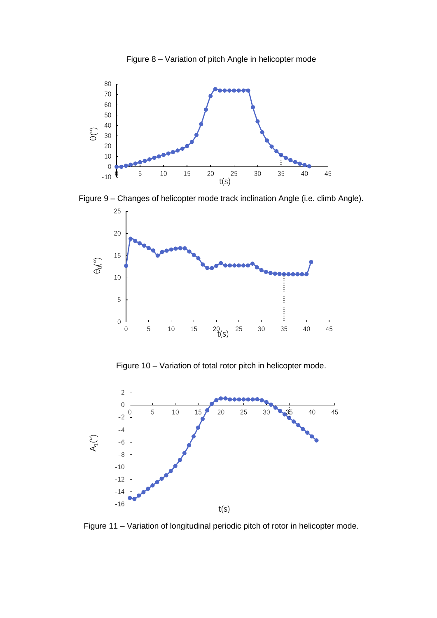



Figure 9 – Changes of helicopter mode track inclination Angle (i.e. climb Angle).



Figure 10 – Variation of total rotor pitch in helicopter mode.



Figure 11 – Variation of longitudinal periodic pitch of rotor in helicopter mode.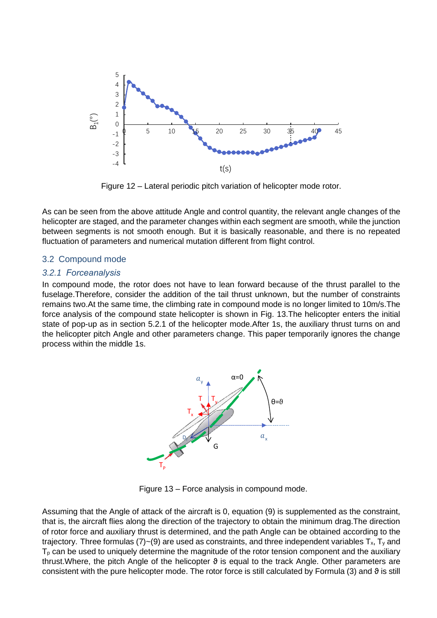

Figure 12 – Lateral periodic pitch variation of helicopter mode rotor.

As can be seen from the above attitude Angle and control quantity, the relevant angle changes of the helicopter are staged, and the parameter changes within each segment are smooth, while the junction between segments is not smooth enough. But it is basically reasonable, and there is no repeated fluctuation of parameters and numerical mutation different from flight control.

### 3.2 Compound mode

### *3.2.1 Forceanalysis*

In compound mode, the rotor does not have to lean forward because of the thrust parallel to the fuselage.Therefore, consider the addition of the tail thrust unknown, but the number of constraints remains two.At the same time, the climbing rate in compound mode is no longer limited to 10m/s.The force analysis of the compound state helicopter is shown in Fig. 13.The helicopter enters the initial state of pop-up as in section 5.2.1 of the helicopter mode.After 1s, the auxiliary thrust turns on and the helicopter pitch Angle and other parameters change. This paper temporarily ignores the change process within the middle 1s.



Figure 13 – Force analysis in compound mode.

Assuming that the Angle of attack of the aircraft is 0, equation (9) is supplemented as the constraint, that is, the aircraft flies along the direction of the trajectory to obtain the minimum drag.The direction of rotor force and auxiliary thrust is determined, and the path Angle can be obtained according to the trajectory. Three formulas (7)~(9) are used as constraints, and three independent variables  $T_x$ ,  $T_y$  and  $T<sub>p</sub>$  can be used to uniquely determine the magnitude of the rotor tension component and the auxiliary thrust. Where, the pitch Angle of the helicopter  $\vartheta$  is equal to the track Angle. Other parameters are consistent with the pure helicopter mode. The rotor force is still calculated by Formula (3) and  $\vartheta$  is still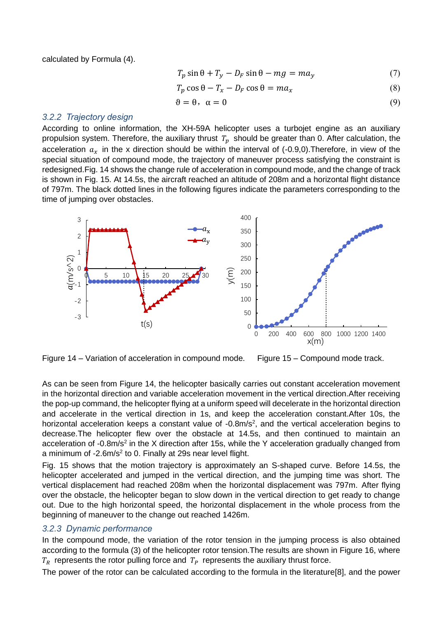calculated by Formula (4).

$$
T_p \sin \theta + T_y - D_F \sin \theta - mg = ma_y \tag{7}
$$

$$
T_p \cos \theta - T_x - D_F \cos \theta = ma_x \tag{8}
$$

$$
\vartheta = \theta, \ \alpha = 0 \tag{9}
$$

#### *3.2.2 Trajectory design*

According to online information, the XH-59A helicopter uses a turbojet engine as an auxiliary propulsion system. Therefore, the auxiliary thrust  $T_p$  should be greater than 0. After calculation, the acceleration  $a_x$  in the x direction should be within the interval of (-0.9,0). Therefore, in view of the special situation of compound mode, the trajectory of maneuver process satisfying the constraint is redesigned.Fig. 14 shows the change rule of acceleration in compound mode, and the change of track is shown in Fig. 15. At 14.5s, the aircraft reached an altitude of 208m and a horizontal flight distance of 797m. The black dotted lines in the following figures indicate the parameters corresponding to the time of jumping over obstacles.



Figure 14 – Variation of acceleration in compound mode. Figure 15 – Compound mode track.

As can be seen from Figure 14, the helicopter basically carries out constant acceleration movement in the horizontal direction and variable acceleration movement in the vertical direction.After receiving the pop-up command, the helicopter flying at a uniform speed will decelerate in the horizontal direction and accelerate in the vertical direction in 1s, and keep the acceleration constant.After 10s, the horizontal acceleration keeps a constant value of  $-0.8$ m/s<sup>2</sup>, and the vertical acceleration begins to decrease.The helicopter flew over the obstacle at 14.5s, and then continued to maintain an acceleration of -0.8m/s<sup>2</sup> in the X direction after 15s, while the Y acceleration gradually changed from a minimum of -2.6m/s<sup>2</sup> to 0. Finally at 29s near level flight.

Fig. 15 shows that the motion trajectory is approximately an S-shaped curve. Before 14.5s, the helicopter accelerated and jumped in the vertical direction, and the jumping time was short. The vertical displacement had reached 208m when the horizontal displacement was 797m. After flying over the obstacle, the helicopter began to slow down in the vertical direction to get ready to change out. Due to the high horizontal speed, the horizontal displacement in the whole process from the beginning of maneuver to the change out reached 1426m.

### *3.2.3 Dynamic performance*

In the compound mode, the variation of the rotor tension in the jumping process is also obtained according to the formula (3) of the helicopter rotor tension.The results are shown in Figure 16, where  $T_R$  represents the rotor pulling force and  $T_P$  represents the auxiliary thrust force.

The power of the rotor can be calculated according to the formula in the literatur[e\[8\],](#page-14-7) and the power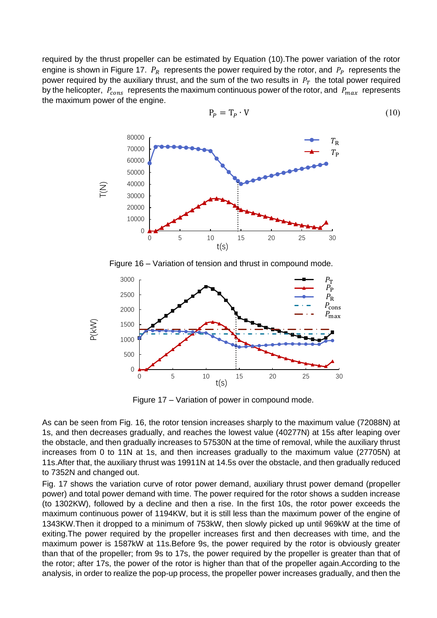required by the thrust propeller can be estimated by Equation (10).The power variation of the rotor engine is shown in Figure 17.  $P_R$  represents the power required by the rotor, and  $P_P$  represents the power required by the auxiliary thrust, and the sum of the two results in  $P_T$  the total power required by the helicopter,  $P_{cons}$  represents the maximum continuous power of the rotor, and  $P_{max}$  represents the maximum power of the engine.



$$
P_P = T_P \cdot V \tag{10}
$$

Figure 16 – Variation of tension and thrust in compound mode.



Figure 17 – Variation of power in compound mode.

As can be seen from Fig. 16, the rotor tension increases sharply to the maximum value (72088N) at 1s, and then decreases gradually, and reaches the lowest value (40277N) at 15s after leaping over the obstacle, and then gradually increases to 57530N at the time of removal, while the auxiliary thrust increases from 0 to 11N at 1s, and then increases gradually to the maximum value (27705N) at 11s.After that, the auxiliary thrust was 19911N at 14.5s over the obstacle, and then gradually reduced to 7352N and changed out.

Fig. 17 shows the variation curve of rotor power demand, auxiliary thrust power demand (propeller power) and total power demand with time. The power required for the rotor shows a sudden increase (to 1302KW), followed by a decline and then a rise. In the first 10s, the rotor power exceeds the maximum continuous power of 1194KW, but it is still less than the maximum power of the engine of 1343KW.Then it dropped to a minimum of 753kW, then slowly picked up until 969kW at the time of exiting.The power required by the propeller increases first and then decreases with time, and the maximum power is 1587kW at 11s.Before 9s, the power required by the rotor is obviously greater than that of the propeller; from 9s to 17s, the power required by the propeller is greater than that of the rotor; after 17s, the power of the rotor is higher than that of the propeller again.According to the analysis, in order to realize the pop-up process, the propeller power increases gradually, and then the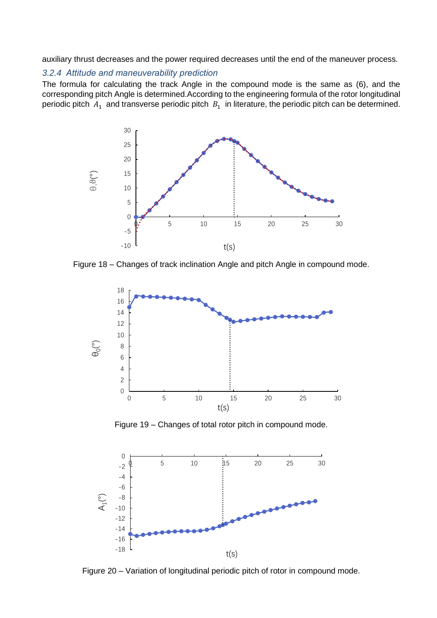auxiliary thrust decreases and the power required decreases until the end of the maneuver process.

### *3.2.4 Attitude and maneuverability prediction*

The formula for calculating the track Angle in the compound mode is the same as (6), and the corresponding pitch Angle is determined.According to the engineering formula of the rotor longitudinal periodic pitch  $A_1$  and transverse periodic pitch  $B_1$  in literature, the periodic pitch can be determined.



Figure 18 – Changes of track inclination Angle and pitch Angle in compound mode.



Figure 19 – Changes of total rotor pitch in compound mode.



Figure 20 – Variation of longitudinal periodic pitch of rotor in compound mode.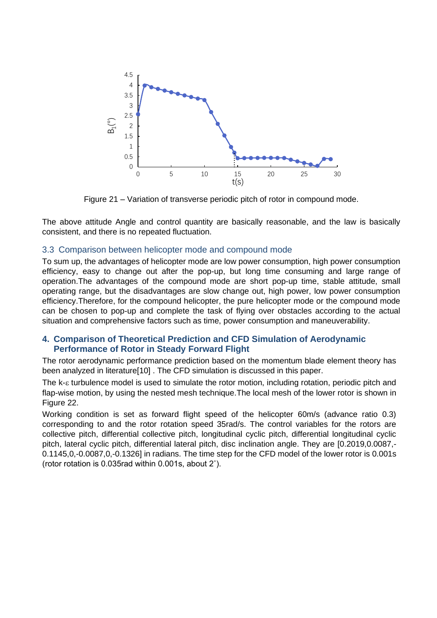

Figure 21 – Variation of transverse periodic pitch of rotor in compound mode.

The above attitude Angle and control quantity are basically reasonable, and the law is basically consistent, and there is no repeated fluctuation.

### 3.3 Comparison between helicopter mode and compound mode

To sum up, the advantages of helicopter mode are low power consumption, high power consumption efficiency, easy to change out after the pop-up, but long time consuming and large range of operation.The advantages of the compound mode are short pop-up time, stable attitude, small operating range, but the disadvantages are slow change out, high power, low power consumption efficiency.Therefore, for the compound helicopter, the pure helicopter mode or the compound mode can be chosen to pop-up and complete the task of flying over obstacles according to the actual situation and comprehensive factors such as time, power consumption and maneuverability.

### **4. Comparison of Theoretical Prediction and CFD Simulation of Aerodynamic Performance of Rotor in Steady Forward Flight**

The rotor aerodynamic performance prediction based on the momentum blade element theory has been analyzed in literatur[e\[10\]](#page-14-9) . The CFD simulation is discussed in this paper.

The  $k$ - $\varepsilon$  turbulence model is used to simulate the rotor motion, including rotation, periodic pitch and flap-wise motion, by using the nested mesh technique.The local mesh of the lower rotor is shown in Figure 22.

Working condition is set as forward flight speed of the helicopter 60m/s (advance ratio 0.3) corresponding to and the rotor rotation speed 35rad/s. The control variables for the rotors are collective pitch, differential collective pitch, longitudinal cyclic pitch, differential longitudinal cyclic pitch, lateral cyclic pitch, differential lateral pitch, disc inclination angle. They are [0.2019,0.0087,- 0.1145,0,-0.0087,0,-0.1326] in radians. The time step for the CFD model of the lower rotor is 0.001s (rotor rotation is 0.035rad within 0.001s, about 2˚).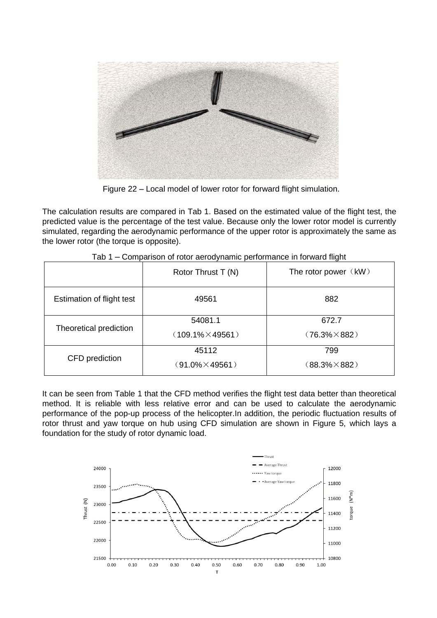

Figure 22 – Local model of lower rotor for forward flight simulation.

The calculation results are compared in Tab 1. Based on the estimated value of the flight test, the predicted value is the percentage of the test value. Because only the lower rotor model is currently simulated, regarding the aerodynamic performance of the upper rotor is approximately the same as the lower rotor (the torque is opposite).

|                           | Rotor Thrust T (N)       | The rotor power $(kW)$ |
|---------------------------|--------------------------|------------------------|
| Estimation of flight test | 49561                    | 882                    |
|                           | 54081.1                  | 672.7                  |
| Theoretical prediction    | $(109.1\% \times 49561)$ | $(76.3\% \times 882)$  |
|                           | 45112                    | 799                    |
| CFD prediction            | $(91.0\% \times 49561)$  | $(88.3\% \times 882)$  |

| Tab 1 - Comparison of rotor aerodynamic performance in forward flight |
|-----------------------------------------------------------------------|
|-----------------------------------------------------------------------|

It can be seen from Table 1 that the CFD method verifies the flight test data better than theoretical method. It is reliable with less relative error and can be used to calculate the aerodynamic performance of the pop-up process of the helicopter.In addition, the periodic fluctuation results of rotor thrust and yaw torque on hub using CFD simulation are shown in Figure 5, which lays a foundation for the study of rotor dynamic load.

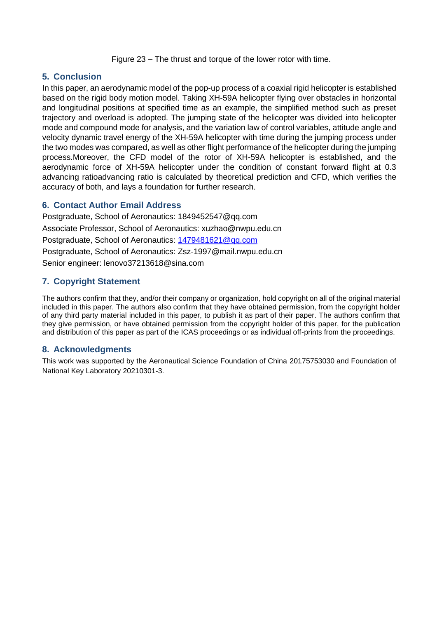Figure 23 – The thrust and torque of the lower rotor with time.

# **5. Conclusion**

In this paper, an aerodynamic model of the pop-up process of a coaxial rigid helicopter is established based on the rigid body motion model. Taking XH-59A helicopter flying over obstacles in horizontal and longitudinal positions at specified time as an example, the simplified method such as preset trajectory and overload is adopted. The jumping state of the helicopter was divided into helicopter mode and compound mode for analysis, and the variation law of control variables, attitude angle and velocity dynamic travel energy of the XH-59A helicopter with time during the jumping process under the two modes was compared, as well as other flight performance of the helicopter during the jumping process.Moreover, the CFD model of the rotor of XH-59A helicopter is established, and the aerodynamic force of XH-59A helicopter under the condition of constant forward flight at 0.3 advancing ratioadvancing ratio is calculated by theoretical prediction and CFD, which verifies the accuracy of both, and lays a foundation for further research.

# **6. Contact Author Email Address**

Postgraduate, School of Aeronautics: 1849452547@qq.com Associate Professor, School of Aeronautics: xuzhao@nwpu.edu.cn Postgraduate, School of Aeronautics: [1479481621@qq.com](mailto:1479481621@qq.com) Postgraduate, School of Aeronautics: Zsz-1997@mail.nwpu.edu.cn Senior engineer: lenovo37213618@sina.com

# **7. Copyright Statement**

The authors confirm that they, and/or their company or organization, hold copyright on all of the original material included in this paper. The authors also confirm that they have obtained permission, from the copyright holder of any third party material included in this paper, to publish it as part of their paper. The authors confirm that they give permission, or have obtained permission from the copyright holder of this paper, for the publication and distribution of this paper as part of the ICAS proceedings or as individual off-prints from the proceedings.

# **8. Acknowledgments**

This work was supported by the Aeronautical Science Foundation of China 20175753030 and Foundation of National Key Laboratory 20210301-3.